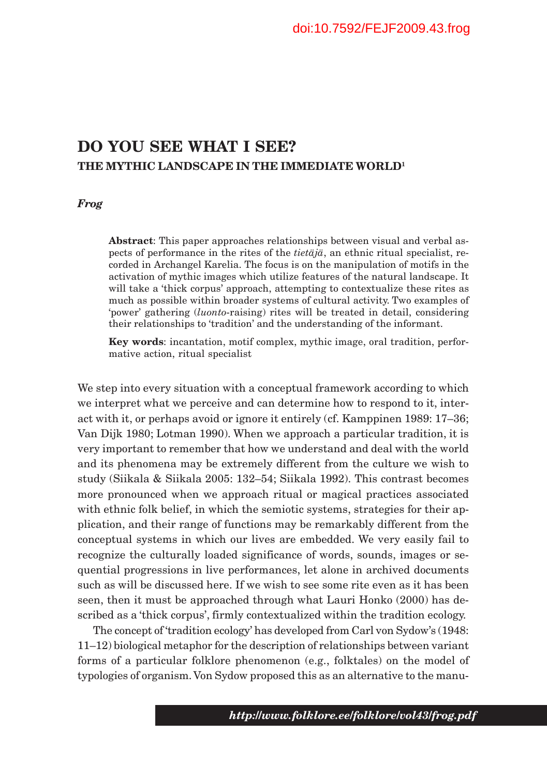# **DO YOU SEE WHAT I SEE? THE MYTHIC LANDSCAPE IN THE IMMEDIATE WORLD1**

#### *Frog*

**Abstract**: This paper approaches relationships between visual and verbal aspects of performance in the rites of the *tietäjä*, an ethnic ritual specialist, recorded in Archangel Karelia. The focus is on the manipulation of motifs in the activation of mythic images which utilize features of the natural landscape. It will take a 'thick corpus' approach, attempting to contextualize these rites as much as possible within broader systems of cultural activity. Two examples of 'power' gathering (*luonto*-raising) rites will be treated in detail, considering their relationships to 'tradition' and the understanding of the informant.

**Key words**: incantation, motif complex, mythic image, oral tradition, performative action, ritual specialist

We step into every situation with a conceptual framework according to which we interpret what we perceive and can determine how to respond to it, interact with it, or perhaps avoid or ignore it entirely (cf. Kamppinen 1989: 17–36; Van Dijk 1980; Lotman 1990). When we approach a particular tradition, it is very important to remember that how we understand and deal with the world and its phenomena may be extremely different from the culture we wish to study (Siikala & Siikala 2005: 132–54; Siikala 1992). This contrast becomes more pronounced when we approach ritual or magical practices associated with ethnic folk belief, in which the semiotic systems, strategies for their application, and their range of functions may be remarkably different from the conceptual systems in which our lives are embedded. We very easily fail to recognize the culturally loaded significance of words, sounds, images or sequential progressions in live performances, let alone in archived documents such as will be discussed here. If we wish to see some rite even as it has been seen, then it must be approached through what Lauri Honko (2000) has described as a 'thick corpus', firmly contextualized within the tradition ecology.

The concept of 'tradition ecology' has developed from Carl von Sydow's (1948: 11–12) biological metaphor for the description of relationships between variant forms of a particular folklore phenomenon (e.g., folktales) on the model of typologies of organism. Von Sydow proposed this as an alternative to the manu-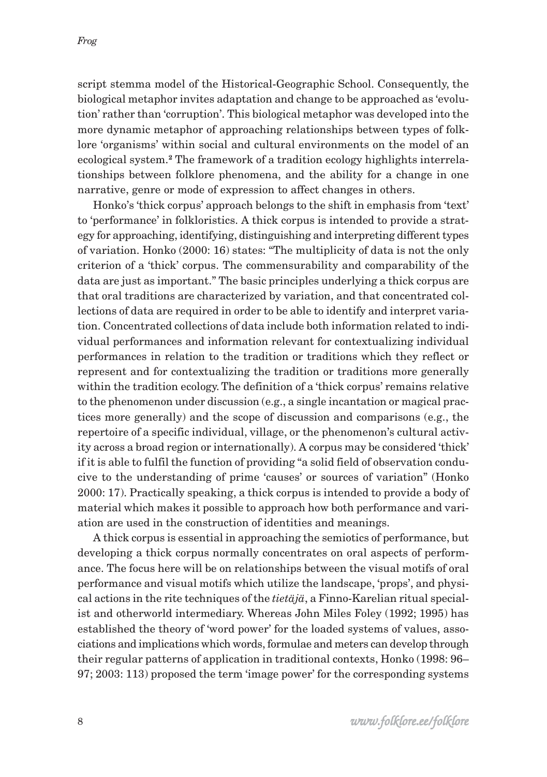script stemma model of the Historical-Geographic School. Consequently, the biological metaphor invites adaptation and change to be approached as 'evolution' rather than 'corruption'. This biological metaphor was developed into the more dynamic metaphor of approaching relationships between types of folklore 'organisms' within social and cultural environments on the model of an ecological system.**2** The framework of a tradition ecology highlights interrelationships between folklore phenomena, and the ability for a change in one narrative, genre or mode of expression to affect changes in others.

Honko's 'thick corpus' approach belongs to the shift in emphasis from 'text' to 'performance' in folkloristics. A thick corpus is intended to provide a strategy for approaching, identifying, distinguishing and interpreting different types of variation. Honko (2000: 16) states: "The multiplicity of data is not the only criterion of a 'thick' corpus. The commensurability and comparability of the data are just as important." The basic principles underlying a thick corpus are that oral traditions are characterized by variation, and that concentrated collections of data are required in order to be able to identify and interpret variation. Concentrated collections of data include both information related to individual performances and information relevant for contextualizing individual performances in relation to the tradition or traditions which they reflect or represent and for contextualizing the tradition or traditions more generally within the tradition ecology. The definition of a 'thick corpus' remains relative to the phenomenon under discussion (e.g., a single incantation or magical practices more generally) and the scope of discussion and comparisons (e.g., the repertoire of a specific individual, village, or the phenomenon's cultural activity across a broad region or internationally). A corpus may be considered 'thick' if it is able to fulfil the function of providing "a solid field of observation conducive to the understanding of prime 'causes' or sources of variation" (Honko 2000: 17). Practically speaking, a thick corpus is intended to provide a body of material which makes it possible to approach how both performance and variation are used in the construction of identities and meanings.

A thick corpus is essential in approaching the semiotics of performance, but developing a thick corpus normally concentrates on oral aspects of performance. The focus here will be on relationships between the visual motifs of oral performance and visual motifs which utilize the landscape, 'props', and physical actions in the rite techniques of the *tietäjä*, a Finno-Karelian ritual specialist and otherworld intermediary. Whereas John Miles Foley (1992; 1995) has established the theory of 'word power' for the loaded systems of values, associations and implications which words, formulae and meters can develop through their regular patterns of application in traditional contexts, Honko (1998: 96– 97; 2003: 113) proposed the term 'image power' for the corresponding systems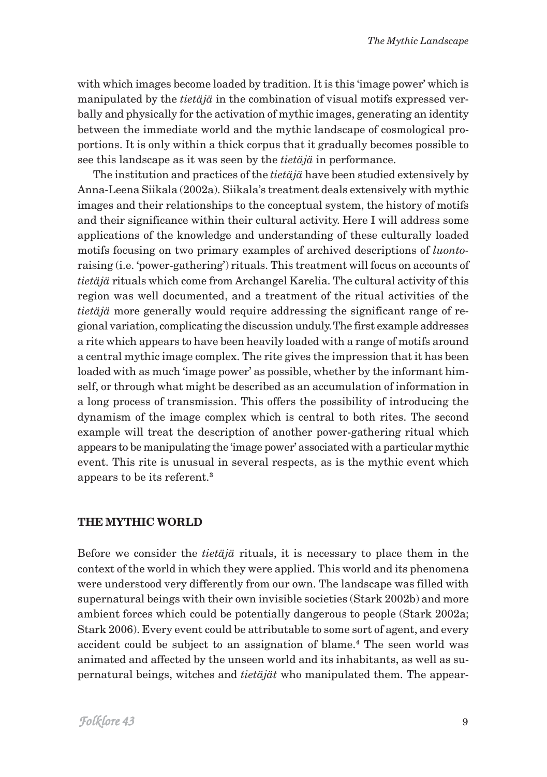with which images become loaded by tradition. It is this 'image power' which is manipulated by the *tietäjä* in the combination of visual motifs expressed verbally and physically for the activation of mythic images, generating an identity between the immediate world and the mythic landscape of cosmological proportions. It is only within a thick corpus that it gradually becomes possible to see this landscape as it was seen by the *tietäjä* in performance.

The institution and practices of the *tietäjä* have been studied extensively by Anna-Leena Siikala (2002a). Siikala's treatment deals extensively with mythic images and their relationships to the conceptual system, the history of motifs and their significance within their cultural activity. Here I will address some applications of the knowledge and understanding of these culturally loaded motifs focusing on two primary examples of archived descriptions of *luonto*raising (i.e. 'power-gathering') rituals. This treatment will focus on accounts of *tietäjä* rituals which come from Archangel Karelia. The cultural activity of this region was well documented, and a treatment of the ritual activities of the *tietäjä* more generally would require addressing the significant range of regional variation, complicating the discussion unduly. The first example addresses a rite which appears to have been heavily loaded with a range of motifs around a central mythic image complex. The rite gives the impression that it has been loaded with as much 'image power' as possible, whether by the informant himself, or through what might be described as an accumulation of information in a long process of transmission. This offers the possibility of introducing the dynamism of the image complex which is central to both rites. The second example will treat the description of another power-gathering ritual which appears to be manipulating the 'image power' associated with a particular mythic event. This rite is unusual in several respects, as is the mythic event which appears to be its referent.**<sup>3</sup>**

## **THE MYTHIC WORLD**

Before we consider the *tietäjä* rituals, it is necessary to place them in the context of the world in which they were applied. This world and its phenomena were understood very differently from our own. The landscape was filled with supernatural beings with their own invisible societies (Stark 2002b) and more ambient forces which could be potentially dangerous to people (Stark 2002a; Stark 2006). Every event could be attributable to some sort of agent, and every accident could be subject to an assignation of blame.**4** The seen world was animated and affected by the unseen world and its inhabitants, as well as supernatural beings, witches and *tietäjät* who manipulated them. The appear-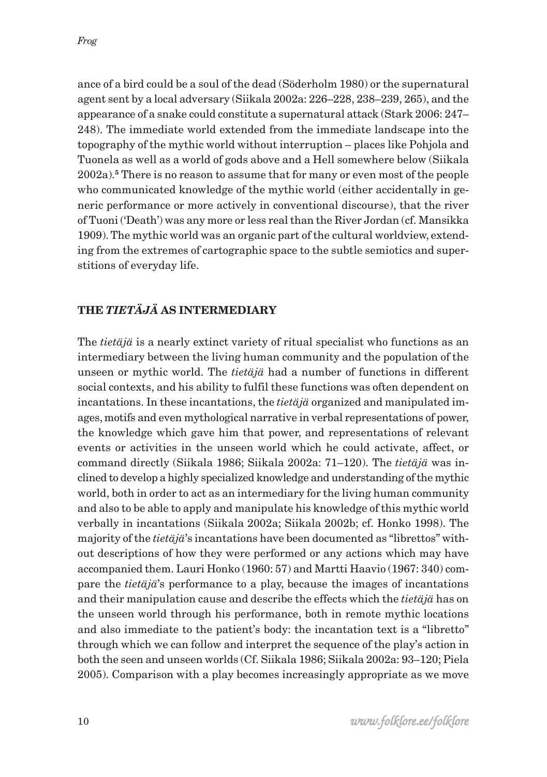ance of a bird could be a soul of the dead (Söderholm 1980) or the supernatural agent sent by a local adversary (Siikala 2002a: 226–228, 238–239, 265), and the appearance of a snake could constitute a supernatural attack (Stark 2006: 247– 248). The immediate world extended from the immediate landscape into the topography of the mythic world without interruption – places like Pohjola and Tuonela as well as a world of gods above and a Hell somewhere below (Siikala 2002a).**5** There is no reason to assume that for many or even most of the people who communicated knowledge of the mythic world (either accidentally in generic performance or more actively in conventional discourse), that the river of Tuoni ('Death') was any more or less real than the River Jordan (cf. Mansikka 1909). The mythic world was an organic part of the cultural worldview, extending from the extremes of cartographic space to the subtle semiotics and superstitions of everyday life.

# **THE** *TIETÄJÄ* **AS INTERMEDIARY**

The *tietäjä* is a nearly extinct variety of ritual specialist who functions as an intermediary between the living human community and the population of the unseen or mythic world. The *tietäjä* had a number of functions in different social contexts, and his ability to fulfil these functions was often dependent on incantations. In these incantations, the *tietäjä* organized and manipulated images, motifs and even mythological narrative in verbal representations of power, the knowledge which gave him that power, and representations of relevant events or activities in the unseen world which he could activate, affect, or command directly (Siikala 1986; Siikala 2002a: 71–120). The *tietäjä* was inclined to develop a highly specialized knowledge and understanding of the mythic world, both in order to act as an intermediary for the living human community and also to be able to apply and manipulate his knowledge of this mythic world verbally in incantations (Siikala 2002a; Siikala 2002b; cf. Honko 1998). The majority of the *tietäjä*'s incantations have been documented as "librettos" without descriptions of how they were performed or any actions which may have accompanied them. Lauri Honko (1960: 57) and Martti Haavio (1967: 340) compare the *tietäjä*'s performance to a play, because the images of incantations and their manipulation cause and describe the effects which the *tietäjä* has on the unseen world through his performance, both in remote mythic locations and also immediate to the patient's body: the incantation text is a "libretto" through which we can follow and interpret the sequence of the play's action in both the seen and unseen worlds (Cf. Siikala 1986; Siikala 2002a: 93–120; Piela 2005). Comparison with a play becomes increasingly appropriate as we move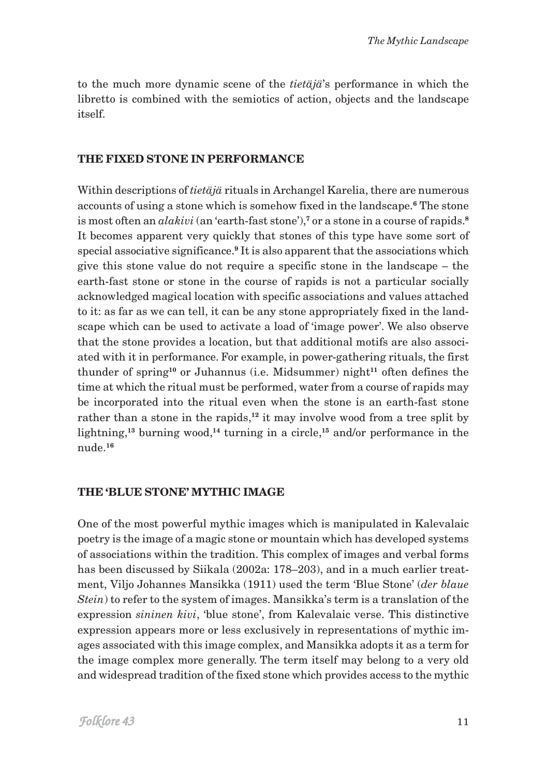to the much more dynamic scene of the *tietäjä*'s performance in which the libretto is combined with the semiotics of action, objects and the landscape itself.

### **THE FIXED STONE IN PERFORMANCE**

Within descriptions of *tietäjä* rituals in Archangel Karelia, there are numerous accounts of using a stone which is somehow fixed in the landscape.**6** The stone is most often an *alakivi* (an 'earth-fast stone'),**7** or a stone in a course of rapids.**<sup>8</sup>** It becomes apparent very quickly that stones of this type have some sort of special associative significance.<sup>9</sup> It is also apparent that the associations which give this stone value do not require a specific stone in the landscape – the earth-fast stone or stone in the course of rapids is not a particular socially acknowledged magical location with specific associations and values attached to it: as far as we can tell, it can be any stone appropriately fixed in the landscape which can be used to activate a load of 'image power'. We also observe that the stone provides a location, but that additional motifs are also associated with it in performance. For example, in power-gathering rituals, the first thunder of spring**10** or Juhannus (i.e. Midsummer) night**11** often defines the time at which the ritual must be performed, water from a course of rapids may be incorporated into the ritual even when the stone is an earth-fast stone rather than a stone in the rapids,**12** it may involve wood from a tree split by lightning,**13** burning wood,**14** turning in a circle,**15** and/or performance in the nude.**<sup>16</sup>**

#### **THE 'BLUE STONE' MYTHIC IMAGE**

One of the most powerful mythic images which is manipulated in Kalevalaic poetry is the image of a magic stone or mountain which has developed systems of associations within the tradition. This complex of images and verbal forms has been discussed by Siikala (2002a: 178–203), and in a much earlier treatment, Viljo Johannes Mansikka (1911) used the term 'Blue Stone' (*der blaue Stein*) to refer to the system of images. Mansikka's term is a translation of the expression *sininen kivi*, 'blue stone', from Kalevalaic verse. This distinctive expression appears more or less exclusively in representations of mythic images associated with this image complex, and Mansikka adopts it as a term for the image complex more generally. The term itself may belong to a very old and widespread tradition of the fixed stone which provides access to the mythic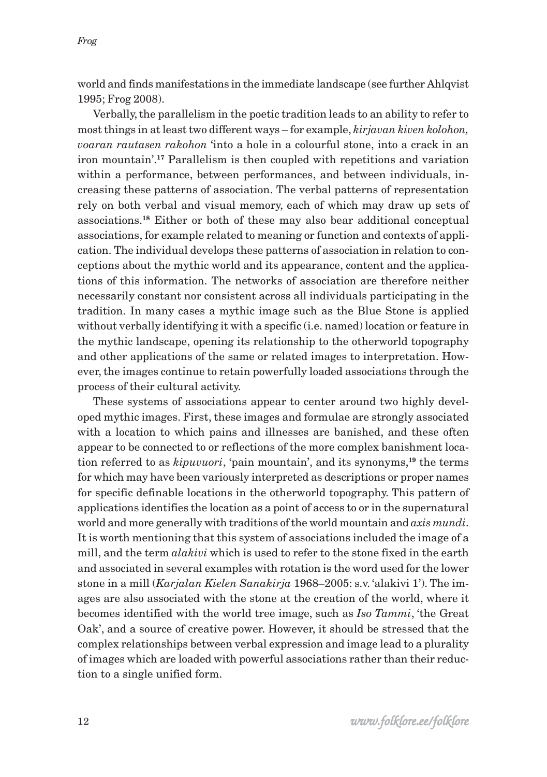world and finds manifestations in the immediate landscape (see further Ahlqvist 1995; Frog 2008).

Verbally, the parallelism in the poetic tradition leads to an ability to refer to most things in at least two different ways – for example, *kirjavan kiven kolohon, voaran rautasen rakohon* 'into a hole in a colourful stone, into a crack in an iron mountain'.**17** Parallelism is then coupled with repetitions and variation within a performance, between performances, and between individuals, increasing these patterns of association. The verbal patterns of representation rely on both verbal and visual memory, each of which may draw up sets of associations.**18** Either or both of these may also bear additional conceptual associations, for example related to meaning or function and contexts of application. The individual develops these patterns of association in relation to conceptions about the mythic world and its appearance, content and the applications of this information. The networks of association are therefore neither necessarily constant nor consistent across all individuals participating in the tradition. In many cases a mythic image such as the Blue Stone is applied without verbally identifying it with a specific (i.e. named) location or feature in the mythic landscape, opening its relationship to the otherworld topography and other applications of the same or related images to interpretation. However, the images continue to retain powerfully loaded associations through the process of their cultural activity.

These systems of associations appear to center around two highly developed mythic images. First, these images and formulae are strongly associated with a location to which pains and illnesses are banished, and these often appear to be connected to or reflections of the more complex banishment location referred to as *kipuvuori*, 'pain mountain', and its synonyms,**19** the terms for which may have been variously interpreted as descriptions or proper names for specific definable locations in the otherworld topography. This pattern of applications identifies the location as a point of access to or in the supernatural world and more generally with traditions of the world mountain and *axis mundi*. It is worth mentioning that this system of associations included the image of a mill, and the term *alakivi* which is used to refer to the stone fixed in the earth and associated in several examples with rotation is the word used for the lower stone in a mill (*Karjalan Kielen Sanakirja* 1968–2005: s.v. 'alakivi 1'). The images are also associated with the stone at the creation of the world, where it becomes identified with the world tree image, such as *Iso Tammi*, 'the Great Oak', and a source of creative power. However, it should be stressed that the complex relationships between verbal expression and image lead to a plurality of images which are loaded with powerful associations rather than their reduction to a single unified form.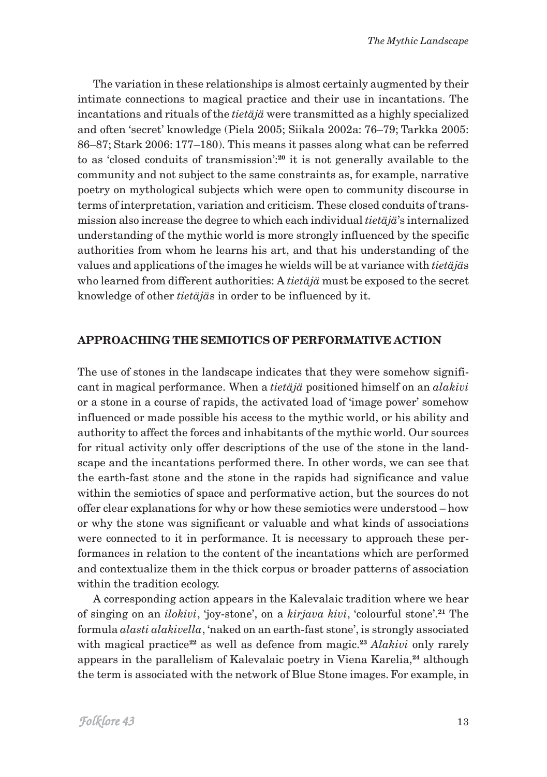The variation in these relationships is almost certainly augmented by their intimate connections to magical practice and their use in incantations. The incantations and rituals of the *tietäjä* were transmitted as a highly specialized and often 'secret' knowledge (Piela 2005; Siikala 2002a: 76–79; Tarkka 2005: 86–87; Stark 2006: 177–180). This means it passes along what can be referred to as 'closed conduits of transmission':**20** it is not generally available to the community and not subject to the same constraints as, for example, narrative poetry on mythological subjects which were open to community discourse in terms of interpretation, variation and criticism. These closed conduits of transmission also increase the degree to which each individual *tietäjä*'s internalized understanding of the mythic world is more strongly influenced by the specific authorities from whom he learns his art, and that his understanding of the values and applications of the images he wields will be at variance with *tietäjä*s who learned from different authorities: A *tietäjä* must be exposed to the secret knowledge of other *tietäjä*s in order to be influenced by it.

#### **APPROACHING THE SEMIOTICS OF PERFORMATIVE ACTION**

The use of stones in the landscape indicates that they were somehow significant in magical performance. When a *tietäjä* positioned himself on an *alakivi* or a stone in a course of rapids, the activated load of 'image power' somehow influenced or made possible his access to the mythic world, or his ability and authority to affect the forces and inhabitants of the mythic world. Our sources for ritual activity only offer descriptions of the use of the stone in the landscape and the incantations performed there. In other words, we can see that the earth-fast stone and the stone in the rapids had significance and value within the semiotics of space and performative action, but the sources do not offer clear explanations for why or how these semiotics were understood – how or why the stone was significant or valuable and what kinds of associations were connected to it in performance. It is necessary to approach these performances in relation to the content of the incantations which are performed and contextualize them in the thick corpus or broader patterns of association within the tradition ecology.

A corresponding action appears in the Kalevalaic tradition where we hear of singing on an *ilokivi*, 'joy-stone', on a *kirjava kivi*, 'colourful stone'.**21** The formula *alasti alakivella*, 'naked on an earth-fast stone', is strongly associated with magical practice**22** as well as defence from magic.**<sup>23</sup>** *Alakivi* only rarely appears in the parallelism of Kalevalaic poetry in Viena Karelia,**24** although the term is associated with the network of Blue Stone images. For example, in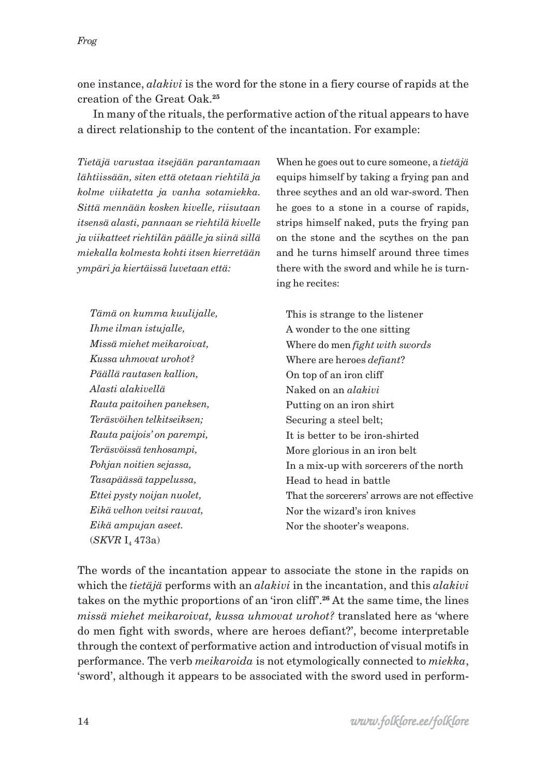one instance, *alakivi* is the word for the stone in a fiery course of rapids at the creation of the Great Oak.**<sup>25</sup>**

In many of the rituals, the performative action of the ritual appears to have a direct relationship to the content of the incantation. For example:

*Tietäjä varustaa itsejään parantamaan lähtiissään, siten että otetaan riehtilä ja kolme viikatetta ja vanha sotamiekka. Sittä mennään kosken kivelle, riisutaan itsensä alasti, pannaan se riehtilä kivelle ja viikatteet riehtilän päälle ja siinä sillä miekalla kolmesta kohti itsen kierretään ympäri ja kiertäissä luvetaan että:*

*Tämä on kumma kuulijalle, Ihme ilman istujalle, Missä miehet meikaroivat, Kussa uhmovat urohot? Päällä rautasen kallion, Alasti alakivellä Rauta paitoihen paneksen, Teräsvöihen telkitseiksen; Rauta paijois' on parempi, Teräsvöissä tenhosampi, Pohjan noitien sejassa, Tasapäässä tappelussa, Ettei pysty noijan nuolet, Eikä velhon veitsi rauvat, Eikä ampujan aseet.* (*SKVR* I<sub>4</sub> 473a)

When he goes out to cure someone, a *tietäjä* equips himself by taking a frying pan and three scythes and an old war-sword. Then he goes to a stone in a course of rapids, strips himself naked, puts the frying pan on the stone and the scythes on the pan and he turns himself around three times there with the sword and while he is turning he recites:

This is strange to the listener A wonder to the one sitting Where do men *fight with swords* Where are heroes *defiant*? On top of an iron cliff Naked on an *alakivi* Putting on an iron shirt Securing a steel belt; It is better to be iron-shirted More glorious in an iron belt In a mix-up with sorcerers of the north Head to head in battle That the sorcerers' arrows are not effective Nor the wizard's iron knives Nor the shooter's weapons.

The words of the incantation appear to associate the stone in the rapids on which the *tietäjä* performs with an *alakivi* in the incantation, and this *alakivi* takes on the mythic proportions of an 'iron cliff'.**26** At the same time, the lines *missä miehet meikaroivat, kussa uhmovat urohot?* translated here as 'where do men fight with swords, where are heroes defiant?', become interpretable through the context of performative action and introduction of visual motifs in performance. The verb *meikaroida* is not etymologically connected to *miekka*, 'sword', although it appears to be associated with the sword used in perform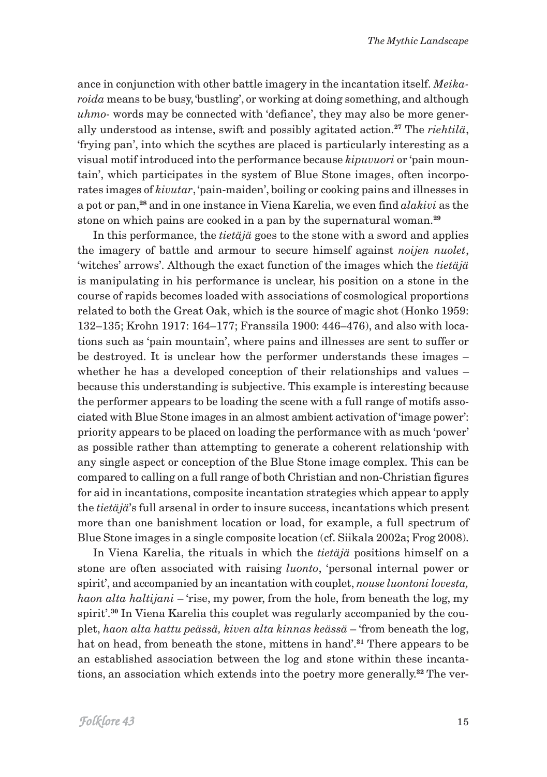ance in conjunction with other battle imagery in the incantation itself. *Meikaroida* means to be busy, 'bustling', or working at doing something, and although *uhmo-* words may be connected with 'defiance', they may also be more generally understood as intense, swift and possibly agitated action.**27** The *riehtilä*, 'frying pan', into which the scythes are placed is particularly interesting as a visual motif introduced into the performance because *kipuvuori* or 'pain mountain', which participates in the system of Blue Stone images, often incorporates images of *kivutar*, 'pain-maiden', boiling or cooking pains and illnesses in a pot or pan,**28** and in one instance in Viena Karelia, we even find *alakivi* as the stone on which pains are cooked in a pan by the supernatural woman.**<sup>29</sup>**

In this performance, the *tietäjä* goes to the stone with a sword and applies the imagery of battle and armour to secure himself against *noijen nuolet*, 'witches' arrows'. Although the exact function of the images which the *tietäjä* is manipulating in his performance is unclear, his position on a stone in the course of rapids becomes loaded with associations of cosmological proportions related to both the Great Oak, which is the source of magic shot (Honko 1959: 132–135; Krohn 1917: 164–177; Franssila 1900: 446–476), and also with locations such as 'pain mountain', where pains and illnesses are sent to suffer or be destroyed. It is unclear how the performer understands these images – whether he has a developed conception of their relationships and values – because this understanding is subjective. This example is interesting because the performer appears to be loading the scene with a full range of motifs associated with Blue Stone images in an almost ambient activation of 'image power': priority appears to be placed on loading the performance with as much 'power' as possible rather than attempting to generate a coherent relationship with any single aspect or conception of the Blue Stone image complex. This can be compared to calling on a full range of both Christian and non-Christian figures for aid in incantations, composite incantation strategies which appear to apply the *tietäjä*'s full arsenal in order to insure success, incantations which present more than one banishment location or load, for example, a full spectrum of Blue Stone images in a single composite location (cf. Siikala 2002a; Frog 2008).

In Viena Karelia, the rituals in which the *tietäjä* positions himself on a stone are often associated with raising *luonto*, 'personal internal power or spirit', and accompanied by an incantation with couplet, *nouse luontoni lovesta, haon alta haltijani* – 'rise, my power, from the hole, from beneath the log, my spirit'.**30** In Viena Karelia this couplet was regularly accompanied by the couplet, *haon alta hattu peässä, kiven alta kinnas keässä* – 'from beneath the log, hat on head, from beneath the stone, mittens in hand'.**31** There appears to be an established association between the log and stone within these incantations, an association which extends into the poetry more generally.**32** The ver-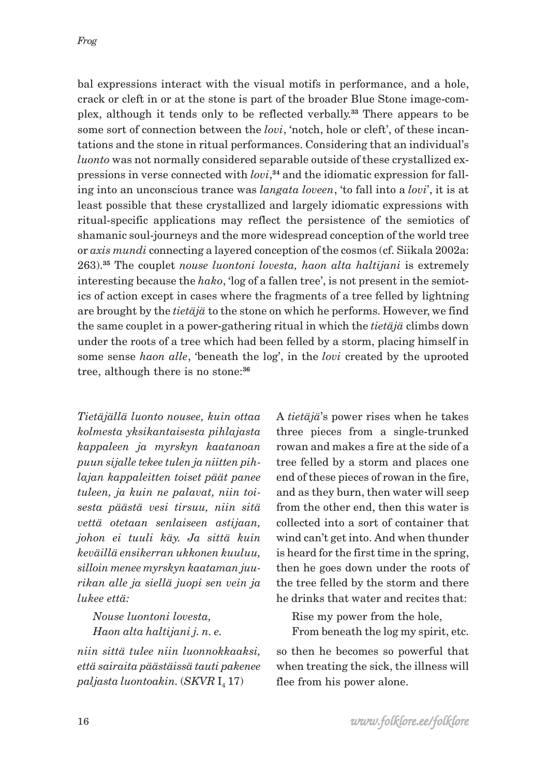bal expressions interact with the visual motifs in performance, and a hole, crack or cleft in or at the stone is part of the broader Blue Stone image-complex, although it tends only to be reflected verbally.**33** There appears to be some sort of connection between the *lovi*, 'notch, hole or cleft', of these incantations and the stone in ritual performances. Considering that an individual's *luonto* was not normally considered separable outside of these crystallized expressions in verse connected with *lovi*, **34** and the idiomatic expression for falling into an unconscious trance was *langata loveen*, 'to fall into a *lovi*', it is at least possible that these crystallized and largely idiomatic expressions with ritual-specific applications may reflect the persistence of the semiotics of shamanic soul-journeys and the more widespread conception of the world tree or *axis mundi* connecting a layered conception of the cosmos (cf. Siikala 2002a: 263).**35** The couplet *nouse luontoni lovesta, haon alta haltijani* is extremely interesting because the *hako*, 'log of a fallen tree', is not present in the semiotics of action except in cases where the fragments of a tree felled by lightning are brought by the *tietäjä* to the stone on which he performs. However, we find the same couplet in a power-gathering ritual in which the *tietäjä* climbs down under the roots of a tree which had been felled by a storm, placing himself in some sense *haon alle*, 'beneath the log', in the *lovi* created by the uprooted tree, although there is no stone:**<sup>36</sup>**

*Tietäjällä luonto nousee, kuin ottaa kolmesta yksikantaisesta pihlajasta kappaleen ja myrskyn kaatanoan puun sijalle tekee tulen ja niitten pihlajan kappaleitten toiset päät panee tuleen, ja kuin ne palavat, niin toisesta päästä vesi tirsuu, niin sitä vettä otetaan senlaiseen astijaan, johon ei tuuli käy. Ja sittä kuin keväillä ensikerran ukkonen kuuluu, silloin menee myrskyn kaataman juurikan alle ja siellä juopi sen vein ja lukee että:*

*Nouse luontoni lovesta, Haon alta haltijani j. n. e.* 

*niin sittä tulee niin luonnokkaaksi, että sairaita päästäissä tauti pakenee*  $palign$ *jasta luontoakin.*  $(SKVR I<sub>4</sub> 17)$ 

A *tietäjä*'s power rises when he takes three pieces from a single-trunked rowan and makes a fire at the side of a tree felled by a storm and places one end of these pieces of rowan in the fire, and as they burn, then water will seep from the other end, then this water is collected into a sort of container that wind can't get into. And when thunder is heard for the first time in the spring, then he goes down under the roots of the tree felled by the storm and there he drinks that water and recites that:

Rise my power from the hole, From beneath the log my spirit, etc.

so then he becomes so powerful that when treating the sick, the illness will flee from his power alone.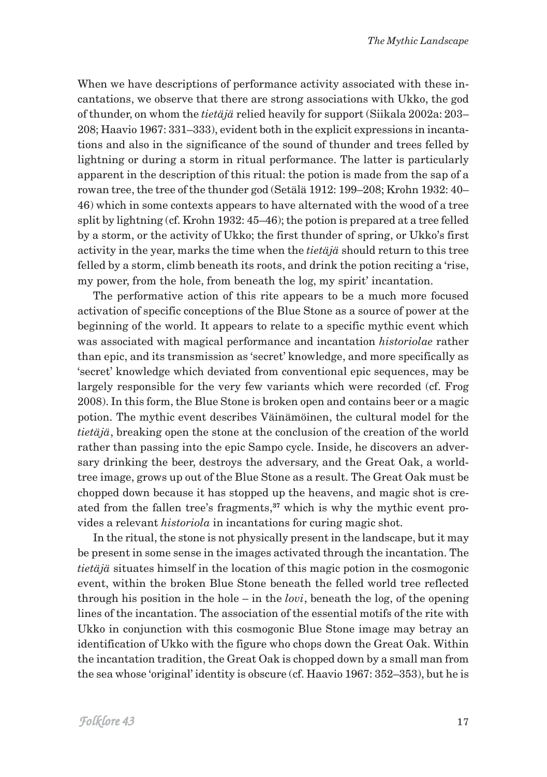When we have descriptions of performance activity associated with these incantations, we observe that there are strong associations with Ukko, the god of thunder, on whom the *tietäjä* relied heavily for support (Siikala 2002a: 203– 208; Haavio 1967: 331–333), evident both in the explicit expressions in incantations and also in the significance of the sound of thunder and trees felled by lightning or during a storm in ritual performance. The latter is particularly apparent in the description of this ritual: the potion is made from the sap of a rowan tree, the tree of the thunder god (Setälä 1912: 199–208; Krohn 1932: 40– 46) which in some contexts appears to have alternated with the wood of a tree split by lightning (cf. Krohn 1932: 45–46); the potion is prepared at a tree felled by a storm, or the activity of Ukko; the first thunder of spring, or Ukko's first activity in the year, marks the time when the *tietäjä* should return to this tree felled by a storm, climb beneath its roots, and drink the potion reciting a 'rise, my power, from the hole, from beneath the log, my spirit' incantation.

The performative action of this rite appears to be a much more focused activation of specific conceptions of the Blue Stone as a source of power at the beginning of the world. It appears to relate to a specific mythic event which was associated with magical performance and incantation *historiolae* rather than epic, and its transmission as 'secret' knowledge, and more specifically as 'secret' knowledge which deviated from conventional epic sequences, may be largely responsible for the very few variants which were recorded (cf. Frog 2008). In this form, the Blue Stone is broken open and contains beer or a magic potion. The mythic event describes Väinämöinen, the cultural model for the *tietäjä*, breaking open the stone at the conclusion of the creation of the world rather than passing into the epic Sampo cycle. Inside, he discovers an adversary drinking the beer, destroys the adversary, and the Great Oak, a worldtree image, grows up out of the Blue Stone as a result. The Great Oak must be chopped down because it has stopped up the heavens, and magic shot is created from the fallen tree's fragments,**37** which is why the mythic event provides a relevant *historiola* in incantations for curing magic shot.

In the ritual, the stone is not physically present in the landscape, but it may be present in some sense in the images activated through the incantation. The *tietäjä* situates himself in the location of this magic potion in the cosmogonic event, within the broken Blue Stone beneath the felled world tree reflected through his position in the hole – in the *lovi*, beneath the log, of the opening lines of the incantation. The association of the essential motifs of the rite with Ukko in conjunction with this cosmogonic Blue Stone image may betray an identification of Ukko with the figure who chops down the Great Oak. Within the incantation tradition, the Great Oak is chopped down by a small man from the sea whose 'original' identity is obscure (cf. Haavio 1967: 352–353), but he is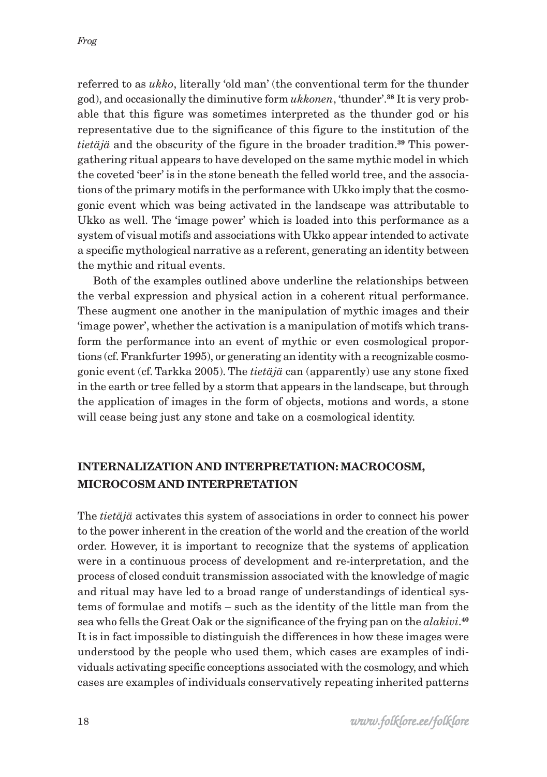referred to as *ukko*, literally 'old man' (the conventional term for the thunder god), and occasionally the diminutive form *ukkonen*, 'thunder'.**38** It is very probable that this figure was sometimes interpreted as the thunder god or his representative due to the significance of this figure to the institution of the *tietäjä* and the obscurity of the figure in the broader tradition.**39** This powergathering ritual appears to have developed on the same mythic model in which the coveted 'beer' is in the stone beneath the felled world tree, and the associations of the primary motifs in the performance with Ukko imply that the cosmogonic event which was being activated in the landscape was attributable to Ukko as well. The 'image power' which is loaded into this performance as a system of visual motifs and associations with Ukko appear intended to activate a specific mythological narrative as a referent, generating an identity between the mythic and ritual events.

Both of the examples outlined above underline the relationships between the verbal expression and physical action in a coherent ritual performance. These augment one another in the manipulation of mythic images and their 'image power', whether the activation is a manipulation of motifs which transform the performance into an event of mythic or even cosmological proportions (cf. Frankfurter 1995), or generating an identity with a recognizable cosmogonic event (cf. Tarkka 2005). The *tietäjä* can (apparently) use any stone fixed in the earth or tree felled by a storm that appears in the landscape, but through the application of images in the form of objects, motions and words, a stone will cease being just any stone and take on a cosmological identity.

# **INTERNALIZATION AND INTERPRETATION: MACROCOSM, MICROCOSM AND INTERPRETATION**

The *tietäjä* activates this system of associations in order to connect his power to the power inherent in the creation of the world and the creation of the world order. However, it is important to recognize that the systems of application were in a continuous process of development and re-interpretation, and the process of closed conduit transmission associated with the knowledge of magic and ritual may have led to a broad range of understandings of identical systems of formulae and motifs – such as the identity of the little man from the sea who fells the Great Oak or the significance of the frying pan on the *alakivi*. **40** It is in fact impossible to distinguish the differences in how these images were understood by the people who used them, which cases are examples of individuals activating specific conceptions associated with the cosmology, and which cases are examples of individuals conservatively repeating inherited patterns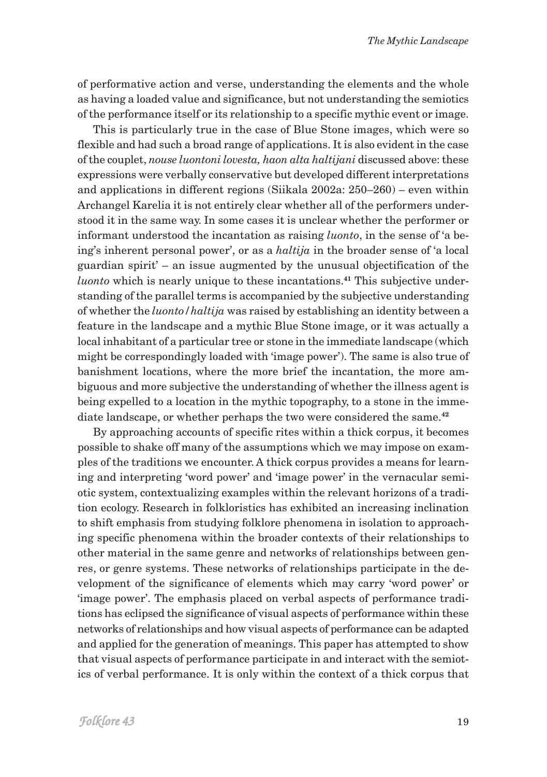of performative action and verse, understanding the elements and the whole as having a loaded value and significance, but not understanding the semiotics of the performance itself or its relationship to a specific mythic event or image.

This is particularly true in the case of Blue Stone images, which were so flexible and had such a broad range of applications. It is also evident in the case of the couplet, *nouse luontoni lovesta, haon alta haltijani* discussed above: these expressions were verbally conservative but developed different interpretations and applications in different regions (Siikala 2002a: 250–260) – even within Archangel Karelia it is not entirely clear whether all of the performers understood it in the same way. In some cases it is unclear whether the performer or informant understood the incantation as raising *luonto*, in the sense of 'a being's inherent personal power', or as a *haltija* in the broader sense of 'a local guardian spirit' – an issue augmented by the unusual objectification of the *luonto* which is nearly unique to these incantations.**41** This subjective understanding of the parallel terms is accompanied by the subjective understanding of whether the *luonto/haltija* was raised by establishing an identity between a feature in the landscape and a mythic Blue Stone image, or it was actually a local inhabitant of a particular tree or stone in the immediate landscape (which might be correspondingly loaded with 'image power'). The same is also true of banishment locations, where the more brief the incantation, the more ambiguous and more subjective the understanding of whether the illness agent is being expelled to a location in the mythic topography, to a stone in the immediate landscape, or whether perhaps the two were considered the same.**<sup>42</sup>**

By approaching accounts of specific rites within a thick corpus, it becomes possible to shake off many of the assumptions which we may impose on examples of the traditions we encounter. A thick corpus provides a means for learning and interpreting 'word power' and 'image power' in the vernacular semiotic system, contextualizing examples within the relevant horizons of a tradition ecology. Research in folkloristics has exhibited an increasing inclination to shift emphasis from studying folklore phenomena in isolation to approaching specific phenomena within the broader contexts of their relationships to other material in the same genre and networks of relationships between genres, or genre systems. These networks of relationships participate in the development of the significance of elements which may carry 'word power' or 'image power'. The emphasis placed on verbal aspects of performance traditions has eclipsed the significance of visual aspects of performance within these networks of relationships and how visual aspects of performance can be adapted and applied for the generation of meanings. This paper has attempted to show that visual aspects of performance participate in and interact with the semiotics of verbal performance. It is only within the context of a thick corpus that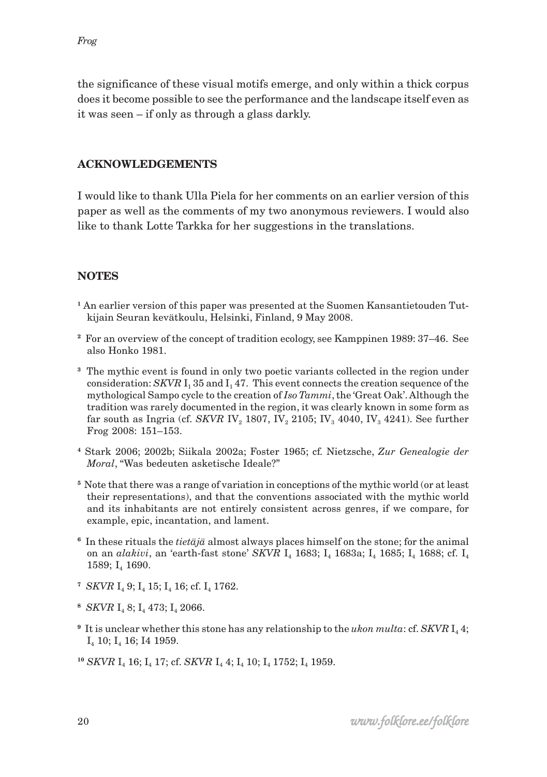the significance of these visual motifs emerge, and only within a thick corpus does it become possible to see the performance and the landscape itself even as it was seen – if only as through a glass darkly.

## **ACKNOWLEDGEMENTS**

I would like to thank Ulla Piela for her comments on an earlier version of this paper as well as the comments of my two anonymous reviewers. I would also like to thank Lotte Tarkka for her suggestions in the translations.

# **NOTES**

- **1** An earlier version of this paper was presented at the Suomen Kansantietouden Tutkijain Seuran kevätkoulu, Helsinki, Finland, 9 May 2008.
- **<sup>2</sup>** For an overview of the concept of tradition ecology, see Kamppinen 1989: 37–46. See also Honko 1981.
- **<sup>3</sup>** The mythic event is found in only two poetic variants collected in the region under consideration: *SKVR*  $I_1$  35 and  $I_1$  47. This event connects the creation sequence of the mythological Sampo cycle to the creation of *Iso Tammi*, the 'Great Oak'. Although the tradition was rarely documented in the region, it was clearly known in some form as far south as Ingria (cf. *SKVR* IV<sub>2</sub> 1807, IV<sub>2</sub> 2105; IV<sub>3</sub> 4040, IV<sub>3</sub> 4241). See further Frog 2008: 151–153.
- **<sup>4</sup>** Stark 2006; 2002b; Siikala 2002a; Foster 1965; cf. Nietzsche, *Zur Genealogie der Moral*, "Was bedeuten asketische Ideale?"
- **<sup>5</sup>**Note that there was a range of variation in conceptions of the mythic world (or at least their representations), and that the conventions associated with the mythic world and its inhabitants are not entirely consistent across genres, if we compare, for example, epic, incantation, and lament.
- **<sup>6</sup>** In these rituals the *tietäjä* almost always places himself on the stone; for the animal on an *alakivi*, an 'earth-fast stone' *SKVR* I<sub>4</sub> 1683; I<sub>4</sub> 1683a; I<sub>4</sub> 1685; I<sub>4</sub> 1688; cf. I<sub>4</sub> 1589; I<sub>4</sub> 1690.
- <sup>7</sup> *SKVR* I<sub>4</sub> 9; I<sub>4</sub> 15; I<sub>4</sub> 16; cf. I<sub>4</sub> 1762.
- <sup>8</sup> *SKVR* I<sub>4</sub> 8; I<sub>4</sub> 473; I<sub>4</sub> 2066.
- <sup>9</sup> It is unclear whether this stone has any relationship to the *ukon multa*: cf. *SKVR* I<sub>4</sub> 4; I4 10; I4 16; I4 1959.
- <sup>10</sup> *SKVR* I<sub>4</sub> 16; I<sub>4</sub> 17; cf. *SKVR* I<sub>4</sub> 4; I<sub>4</sub> 10; I<sub>4</sub> 1752; I<sub>4</sub> 1959.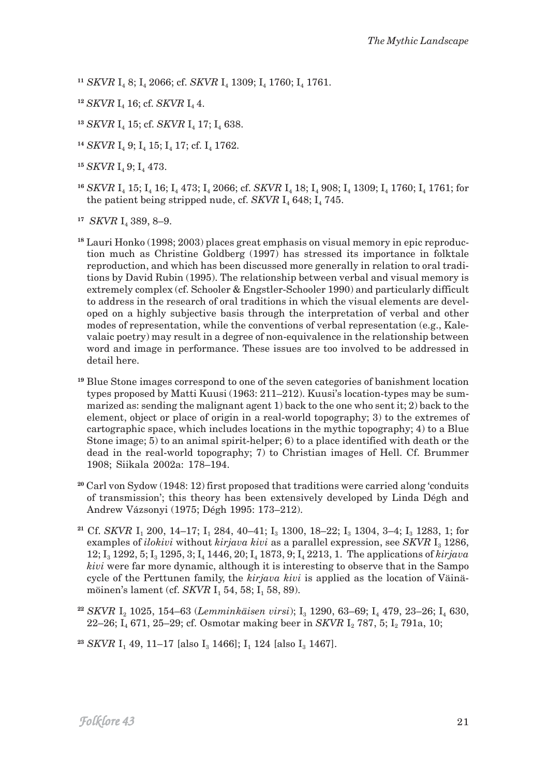<sup>11</sup> *SKVR* I<sub>4</sub> 8; I<sub>4</sub> 2066; cf. *SKVR* I<sub>4</sub> 1309; I<sub>4</sub> 1760; I<sub>4</sub> 1761.

- <sup>12</sup> *SKVR* I<sub>4</sub> 16; cf. *SKVR* I<sub>4</sub> 4.
- <sup>13</sup> *SKVR* I<sub>4</sub> 15; cf. *SKVR* I<sub>4</sub> 17; I<sub>4</sub> 638.
- <sup>14</sup> *SKVR* I<sub>4</sub> 9; I<sub>4</sub> 15; I<sub>4</sub> 17; cf. I<sub>4</sub> 1762.
- <sup>15</sup> *SKVR* I<sub>t</sub> 9: I<sub>t</sub> 473.
- <sup>16</sup> *SKVR* I<sub>4</sub> 15; I<sub>4</sub> 16; I<sub>4</sub> 473; I<sub>4</sub> 2066; cf. *SKVR* I<sub>4</sub> 18; I<sub>4</sub> 908; I<sub>4</sub> 1309; I<sub>4</sub> 1760; I<sub>4</sub> 1761; for the patient being stripped nude, cf. *SKVR*  $I_4$  648;  $I_4$  745.

<sup>17</sup> *SKVR* I<sub>4</sub> 389, 8–9.

**18** Lauri Honko (1998; 2003) places great emphasis on visual memory in epic reproduction much as Christine Goldberg (1997) has stressed its importance in folktale reproduction, and which has been discussed more generally in relation to oral traditions by David Rubin (1995). The relationship between verbal and visual memory is extremely complex (cf. Schooler & Engstler-Schooler 1990) and particularly difficult to address in the research of oral traditions in which the visual elements are developed on a highly subjective basis through the interpretation of verbal and other modes of representation, while the conventions of verbal representation (e.g., Kalevalaic poetry) may result in a degree of non-equivalence in the relationship between word and image in performance. These issues are too involved to be addressed in detail here.

- **<sup>19</sup>** Blue Stone images correspond to one of the seven categories of banishment location types proposed by Matti Kuusi (1963: 211–212). Kuusi's location-types may be summarized as: sending the malignant agent 1) back to the one who sent it; 2) back to the element, object or place of origin in a real-world topography; 3) to the extremes of cartographic space, which includes locations in the mythic topography; 4) to a Blue Stone image; 5) to an animal spirit-helper; 6) to a place identified with death or the dead in the real-world topography; 7) to Christian images of Hell. Cf. Brummer 1908; Siikala 2002a: 178–194.
- **<sup>20</sup>** Carl von Sydow (1948: 12) first proposed that traditions were carried along 'conduits of transmission'; this theory has been extensively developed by Linda Dégh and Andrew Vázsonyi (1975; Dégh 1995: 173–212).
- <sup>21</sup> Cf. *SKVR* I<sub>1</sub> 200, 14–17; I<sub>1</sub> 284, 40–41; I<sub>3</sub> 1300, 18–22; I<sub>3</sub> 1304, 3–4; I<sub>3</sub> 1283, 1; for examples of *ilokivi* without *kirjava kivi* as a parallel expression, see *SKVR* I<sub>3</sub> 1286, 12; I<sub>3</sub> 1292, 5; I<sub>3</sub> 1295, 3; I<sub>4</sub> 1446, 20; I<sub>4</sub> 1873, 9; I<sub>4</sub> 2213, 1. The applications of *kirjava kivi* were far more dynamic, although it is interesting to observe that in the Sampo cycle of the Perttunen family, the *kirjava kivi* is applied as the location of Väinämöinen's lament (cf. *SKVR* I<sub>1</sub> 54, 58; I<sub>1</sub> 58, 89).
- <sup>22</sup> *SKVR* I<sub>2</sub> 1025, 154–63 (*Lemminkäisen virsi*); I<sub>3</sub> 1290, 63–69; I<sub>4</sub> 479, 23–26; I<sub>4</sub> 630, 22–26; I<sub>4</sub> 671, 25–29; cf. Osmotar making beer in *SKVR* I<sub>2</sub> 787, 5; I<sub>2</sub> 791a, 10;
- <sup>23</sup> *SKVR* I<sub>1</sub> 49, 11–17 [also I<sub>3</sub> 1466]; I<sub>1</sub> 124 [also I<sub>3</sub> 1467].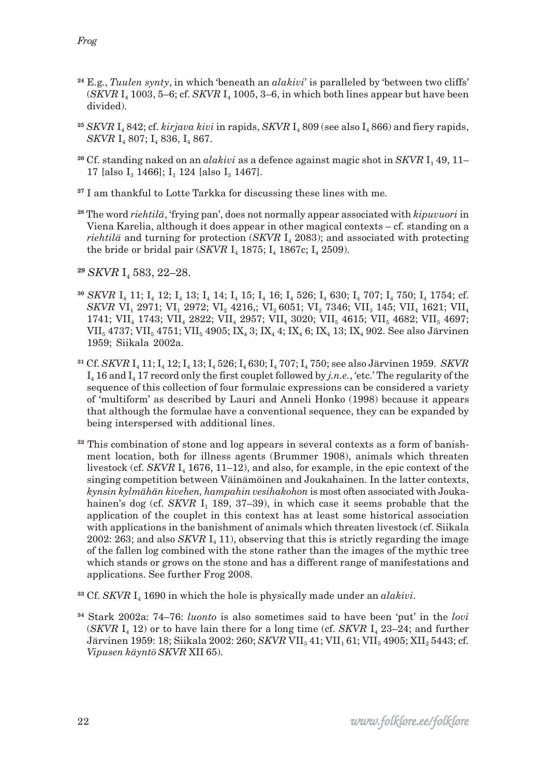- **<sup>24</sup>** E.g., *Tuulen synty*, in which 'beneath an *alakivi*' is paralleled by 'between two cliffs'  $(SKVR I<sub>4</sub> 1003, 5-6; cf. SKVR I<sub>4</sub> 1005, 3-6; in which both lines appear but have been$ divided).
- <sup>25</sup> *SKVR* I<sub>4</sub> 842; cf. *kirjava kivi* in rapids, *SKVR* I<sub>4</sub> 809 (see also I<sub>4</sub> 866) and fiery rapids, *SKVR* I<sub>4</sub> 807; I<sub>4</sub> 836, I<sub>4</sub> 867.
- <sup>26</sup> Cf. standing naked on an *alakivi* as a defence against magic shot in *SKVR* I<sub>1</sub>49, 11– 17 [also  $I_3$  1466]; I<sub>1</sub> 124 [also I<sub>3</sub> 1467].
- **<sup>27</sup>** I am thankful to Lotte Tarkka for discussing these lines with me.
- **<sup>28</sup>** The word *riehtilä*, 'frying pan', does not normally appear associated with *kipuvuori* in Viena Karelia, although it does appear in other magical contexts – cf. standing on a *riehtilä* and turning for protection  $(SKVR I_4 2083)$ ; and associated with protecting the bride or bridal pair (*SKVR*  $I_4$  1875;  $I_4$  1867c;  $I_4$  2509).
- <sup>29</sup> *SKVR* I<sub>4</sub> 583, 22–28.
- <sup>30</sup> *SKVR* I<sub>4</sub> 11; I<sub>4</sub> 12; I<sub>4</sub> 13; I<sub>4</sub> 14; I<sub>4</sub> 15; I<sub>4</sub> 16; I<sub>4</sub> 526; I<sub>4</sub> 630; I<sub>4</sub> 707; I<sub>4</sub> 750; I<sub>4</sub> 1754; cf. *SKVR* VI<sub>1</sub> 2971; VI<sub>1</sub> 2972; VI<sub>2</sub> 4216,; VI<sub>2</sub> 6051; VI<sub>2</sub> 7346; VII<sub>3</sub> 145; VII<sub>4</sub> 1621; VII<sub>4</sub> 1741; VII<sub>4</sub> 1743; VII<sub>4</sub> 2822; VII<sub>4</sub> 2957; VII<sub>4</sub> 3020; VII<sub>5</sub> 4615; VII<sub>5</sub> 4682; VII<sub>5</sub> 4697; VII<sub>5</sub> 4737; VII<sub>5</sub> 4751; VII<sub>5</sub> 4905; IX<sub>4</sub> 3; IX<sub>4</sub> 4; IX<sub>4</sub> 6; IX<sub>4</sub> 13; IX<sub>4</sub> 902. See also Järvinen 1959; Siikala 2002a.
- <sup>31</sup> Cf. *SKVR* I<sub>4</sub> 11; I<sub>4</sub> 12; I<sub>4</sub> 13; I<sub>4</sub> 526; I<sub>4</sub> 630; I<sub>4</sub> 707; I<sub>4</sub> 750; see also Järvinen 1959. *SKVR* I4 16 and I4 17 record only the first couplet followed by *j.n.e.*, 'etc.' The regularity of the sequence of this collection of four formulaic expressions can be considered a variety of 'multiform' as described by Lauri and Anneli Honko (1998) because it appears that although the formulae have a conventional sequence, they can be expanded by being interspersed with additional lines.
- **32** This combination of stone and log appears in several contexts as a form of banishment location, both for illness agents (Brummer 1908), animals which threaten livestock (cf. *SKVR*  $I_4$  1676, 11–12), and also, for example, in the epic context of the singing competition between Väinämöinen and Joukahainen. In the latter contexts, *kynsin kylmähän kivehen, hampahin vesihakohon* is most often associated with Joukahainen's dog (cf. *SKVR* I<sub>1</sub> 189, 37–39), in which case it seems probable that the application of the couplet in this context has at least some historical association with applications in the banishment of animals which threaten livestock (cf. Siikala 2002: 263; and also *SKVR*  $I_4$  11), observing that this is strictly regarding the image of the fallen log combined with the stone rather than the images of the mythic tree which stands or grows on the stone and has a different range of manifestations and applications. See further Frog 2008.
- <sup>33</sup> Cf. *SKVR* I<sub>4</sub> 1690 in which the hole is physically made under an *alakivi*.
- **<sup>34</sup>** Stark 2002a: 74–76: *luonto* is also sometimes said to have been 'put' in the *lovi* (*SKVR*  $I_4$  12) or to have lain there for a long time (cf. *SKVR*  $I_4$  23–24; and further Järvinen 1959: 18; Siikala 2002: 260; *SKVR* VII<sub>3</sub> 41; VII<sub>1</sub> 61; VII<sub>5</sub> 4905; XII<sub>2</sub> 5443; cf. *Vipusen käyntö SKVR* XII 65).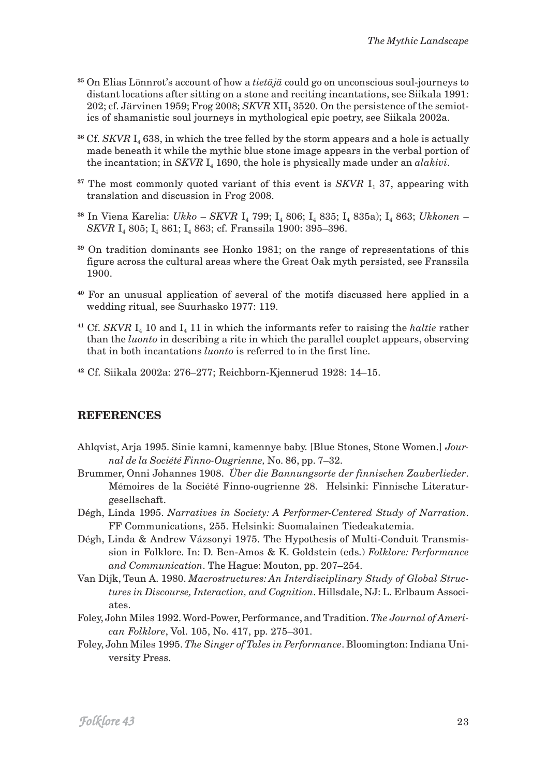- **<sup>35</sup>** On Elias Lönnrot's account of how a *tietäjä* could go on unconscious soul-journeys to distant locations after sitting on a stone and reciting incantations, see Siikala 1991: 202; cf. Järvinen 1959; Frog 2008; *SKVR* XII, 3520. On the persistence of the semiotics of shamanistic soul journeys in mythological epic poetry, see Siikala 2002a.
- <sup>36</sup> Cf. *SKVR*  $I_4$  638, in which the tree felled by the storm appears and a hole is actually made beneath it while the mythic blue stone image appears in the verbal portion of the incantation; in *SKVR* I<sub>4</sub> 1690, the hole is physically made under an *alakivi*.
- <sup>37</sup> The most commonly quoted variant of this event is *SKVR* I<sub>1</sub> 37, appearing with translation and discussion in Frog 2008.
- **<sup>38</sup>** In Viena Karelia: *Ukko SKVR* I4 799; I4 806; I4 835; I4 835a); I4 863; *Ukkonen SKVR* I<sub>4</sub> 805; I<sub>4</sub> 861; I<sub>4</sub> 863; cf. Franssila 1900: 395-396.
- **<sup>39</sup>** On tradition dominants see Honko 1981; on the range of representations of this figure across the cultural areas where the Great Oak myth persisted, see Franssila 1900.
- **<sup>40</sup>** For an unusual application of several of the motifs discussed here applied in a wedding ritual, see Suurhasko 1977: 119.
- <sup>41</sup> Cf. *SKVR*  $I_4$  10 and  $I_4$  11 in which the informants refer to raising the *haltie* rather than the *luonto* in describing a rite in which the parallel couplet appears, observing that in both incantations *luonto* is referred to in the first line.
- **<sup>42</sup>** Cf. Siikala 2002a: 276–277; Reichborn-Kjennerud 1928: 14–15.

#### **REFERENCES**

- Ahlqvist, Arja 1995. Sinie kamni, kamennye baby. [Blue Stones, Stone Women.] *Journal de la Société Finno-Ougrienne,* No. 86, pp. 7–32.
- Brummer, Onni Johannes 1908. *Über die Bannungsorte der finnischen Zauberlieder*. Mémoires de la Société Finno-ougrienne 28. Helsinki: Finnische Literaturgesellschaft.
- Dégh, Linda 1995. *Narratives in Society: A Performer-Centered Study of Narration*. FF Communications, 255. Helsinki: Suomalainen Tiedeakatemia.
- Dégh, Linda & Andrew Vázsonyi 1975. The Hypothesis of Multi-Conduit Transmission in Folklore. In: D. Ben-Amos & K. Goldstein (eds.) *Folklore: Performance and Communication*. The Hague: Mouton, pp. 207–254.
- Van Dijk, Teun A. 1980. *Macrostructures: An Interdisciplinary Study of Global Structures in Discourse, Interaction, and Cognition*. Hillsdale, NJ: L. Erlbaum Associates.
- Foley, John Miles 1992. Word-Power, Performance, and Tradition. *The Journal of American Folklore*, Vol. 105, No. 417, pp. 275–301.
- Foley, John Miles 1995. *The Singer of Tales in Performance*. Bloomington: Indiana University Press.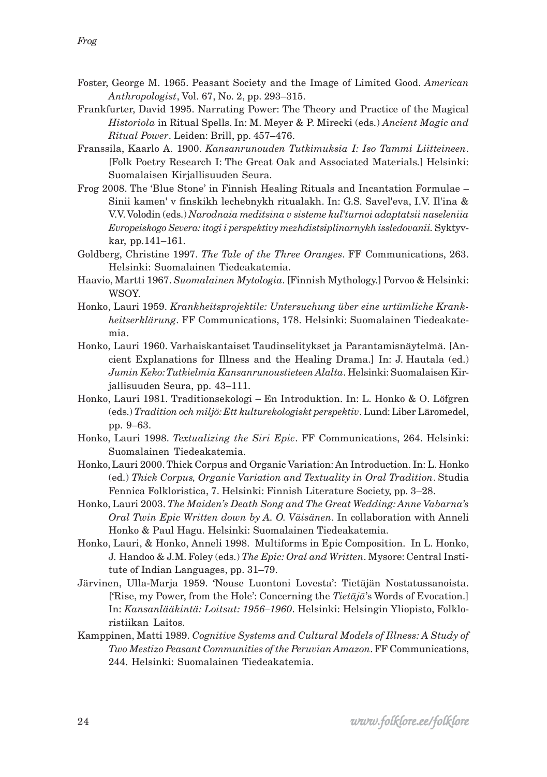- Foster, George M. 1965. Peasant Society and the Image of Limited Good. *American Anthropologist*, Vol. 67, No. 2, pp. 293–315.
- Frankfurter, David 1995. Narrating Power: The Theory and Practice of the Magical *Historiola* in Ritual Spells. In: M. Meyer & P. Mirecki (eds.) *Ancient Magic and Ritual Power*. Leiden: Brill, pp. 457–476.
- Franssila, Kaarlo A. 1900. *Kansanrunouden Tutkimuksia I: Iso Tammi Liitteineen*. [Folk Poetry Research I: The Great Oak and Associated Materials.] Helsinki: Suomalaisen Kirjallisuuden Seura.
- Frog 2008. The 'Blue Stone' in Finnish Healing Rituals and Incantation Formulae Sinii kamen' v finskikh lechebnykh ritualakh. In: G.S. Savel'eva, I.V. Il'ina & V.V. Volodin (eds.) *Narodnaia meditsina v sisteme kul*'*turnoi adaptatsii naseleniia Evropeiskogo Severa: itogi i perspektivy mezhdistsiplinarnykh issledovanii.* Syktyvkar, pp.141–161.
- Goldberg, Christine 1997. *The Tale of the Three Oranges*. FF Communications, 263. Helsinki: Suomalainen Tiedeakatemia.
- Haavio, Martti 1967. *Suomalainen Mytologia*. [Finnish Mythology.] Porvoo & Helsinki: WSOY.
- Honko, Lauri 1959. *Krankheitsprojektile: Untersuchung über eine urtümliche Krankheitserklärung*. FF Communications, 178. Helsinki: Suomalainen Tiedeakatemia.
- Honko, Lauri 1960. Varhaiskantaiset Taudinselitykset ja Parantamisnäytelmä. [Ancient Explanations for Illness and the Healing Drama.] In: J. Hautala (ed.) *Jumin Keko: Tutkielmia Kansanrunoustieteen Alalta*. Helsinki: Suomalaisen Kirjallisuuden Seura, pp. 43–111.
- Honko, Lauri 1981. Traditionsekologi En Introduktion. In: L. Honko & O. Löfgren (eds.) *Tradition och miljö: Ett kulturekologiskt perspektiv*. Lund: Liber Läromedel, pp. 9–63.
- Honko, Lauri 1998. *Textualizing the Siri Epic*. FF Communications, 264. Helsinki: Suomalainen Tiedeakatemia.
- Honko, Lauri 2000. Thick Corpus and Organic Variation: An Introduction. In: L. Honko (ed.) *Thick Corpus, Organic Variation and Textuality in Oral Tradition*. Studia Fennica Folkloristica, 7. Helsinki: Finnish Literature Society, pp. 3–28.
- Honko, Lauri 2003. *The Maiden's Death Song and The Great Wedding: Anne Vabarna's Oral Twin Epic Written down by A. O. Väisänen*. In collaboration with Anneli Honko & Paul Hagu. Helsinki: Suomalainen Tiedeakatemia.
- Honko, Lauri, & Honko, Anneli 1998. Multiforms in Epic Composition. In L. Honko, J. Handoo & J.M. Foley (eds.) *The Epic: Oral and Written*. Mysore: Central Institute of Indian Languages, pp. 31–79.
- Järvinen, Ulla-Marja 1959. 'Nouse Luontoni Lovesta': Tietäjän Nostatussanoista. ['Rise, my Power, from the Hole': Concerning the *Tietäjä*'s Words of Evocation.] In: *Kansanlääkintä: Loitsut: 1956–1960*. Helsinki: Helsingin Yliopisto, Folkloristiikan Laitos.
- Kamppinen, Matti 1989. *Cognitive Systems and Cultural Models of Illness: A Study of Two Mestizo Peasant Communities of the Peruvian Amazon*. FF Communications, 244. Helsinki: Suomalainen Tiedeakatemia.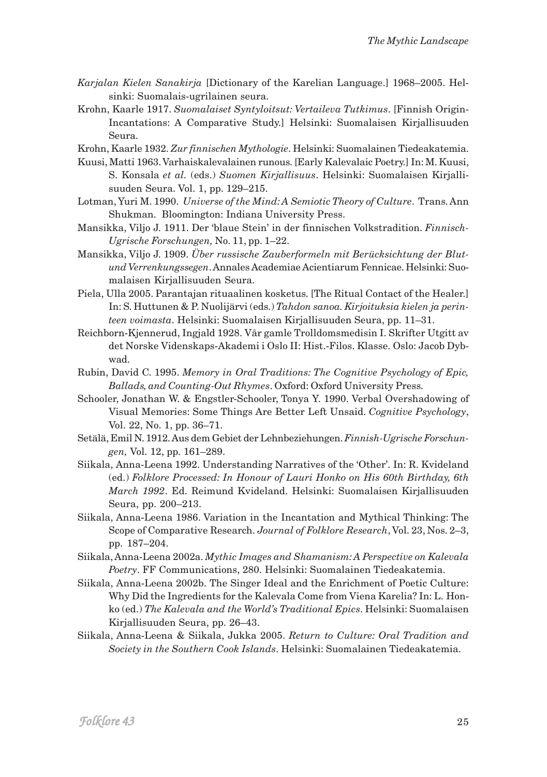- *Karjalan Kielen Sanakirja* [Dictionary of the Karelian Language.] 1968–2005. Helsinki: Suomalais-ugrilainen seura.
- Krohn, Kaarle 1917. *Suomalaiset Syntyloitsut: Vertaileva Tutkimus*. [Finnish Origin-Incantations: A Comparative Study.] Helsinki: Suomalaisen Kirjallisuuden Seura.

Krohn, Kaarle 1932. *Zur finnischen Mythologie*. Helsinki: Suomalainen Tiedeakatemia.

- Kuusi, Matti 1963. Varhaiskalevalainen runous. [Early Kalevalaic Poetry.] In: M. Kuusi, S. Konsala *et al.* (eds.) *Suomen Kirjallisuus*. Helsinki: Suomalaisen Kirjallisuuden Seura. Vol. 1, pp. 129–215.
- Lotman, Yuri M. 1990. *Universe of the Mind: A Semiotic Theory of Culture*. Trans. Ann Shukman. Bloomington: Indiana University Press.
- Mansikka, Viljo J. 1911. Der 'blaue Stein' in der finnischen Volkstradition. *Finnisch-Ugrische Forschungen,* No. 11, pp. 1–22.
- Mansikka, Viljo J. 1909. *Über russische Zauberformeln mit Berücksichtung der Blutund Verrenkungssegen*. Annales Academiae Acientiarum Fennicae. Helsinki: Suomalaisen Kirjallisuuden Seura.
- Piela, Ulla 2005. Parantajan rituaalinen kosketus. [The Ritual Contact of the Healer.] In: S. Huttunen & P. Nuolijärvi (eds.) *Tahdon sanoa. Kirjoituksia kielen ja perinteen voimasta*. Helsinki: Suomalaisen Kirjallisuuden Seura, pp. 11–31.
- Reichborn-Kjennerud, Ingjald 1928. Vår gamle Trolldomsmedisin I. Skrifter Utgitt av det Norske Videnskaps-Akademi i Oslo II: Hist.-Filos. Klasse. Oslo: Jacob Dybwad.
- Rubin, David C. 1995. *Memory in Oral Traditions: The Cognitive Psychology of Epic, Ballads, and Counting-Out Rhymes*. Oxford: Oxford University Press.
- Schooler, Jonathan W. & Engstler-Schooler, Tonya Y. 1990. Verbal Overshadowing of Visual Memories: Some Things Are Better Left Unsaid. *Cognitive Psychology*, Vol. 22, No. 1, pp. 36–71.
- Setälä, Emil N. 1912. Aus dem Gebiet der Lehnbeziehungen. *Finnish-Ugrische Forschungen,* Vol. 12, pp. 161–289.
- Siikala, Anna-Leena 1992. Understanding Narratives of the 'Other'. In: R. Kvideland (ed.) *Folklore Processed: In Honour of Lauri Honko on His 60th Birthday, 6th March 1992*. Ed. Reimund Kvideland. Helsinki: Suomalaisen Kirjallisuuden Seura, pp. 200–213.
- Siikala, Anna-Leena 1986. Variation in the Incantation and Mythical Thinking: The Scope of Comparative Research. *Journal of Folklore Research*, Vol. 23, Nos. 2–3, pp. 187–204.
- Siikala, Anna-Leena 2002a. *Mythic Images and Shamanism: A Perspective on Kalevala Poetry*. FF Communications, 280. Helsinki: Suomalainen Tiedeakatemia.
- Siikala, Anna-Leena 2002b. The Singer Ideal and the Enrichment of Poetic Culture: Why Did the Ingredients for the Kalevala Come from Viena Karelia? In: L. Honko (ed.) *The Kalevala and the World's Traditional Epics*. Helsinki: Suomalaisen Kirjallisuuden Seura, pp. 26–43.
- Siikala, Anna-Leena & Siikala, Jukka 2005. *Return to Culture: Oral Tradition and Society in the Southern Cook Islands*. Helsinki: Suomalainen Tiedeakatemia.